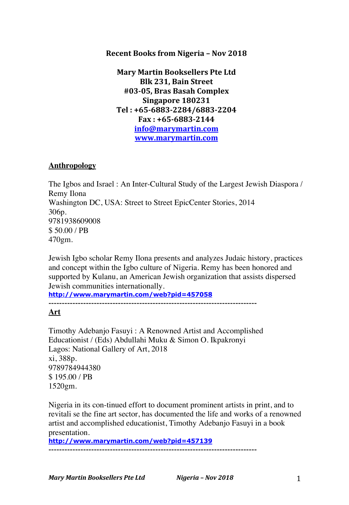## **Recent Books from Nigeria – Nov 2018**

**Mary Martin Booksellers Pte Ltd Blk 231, Bain Street #03-05, Bras Basah Complex Singapore 180231 Tel : +65-6883-2284/6883-2204 Fax : +65-6883-2144 info@marymartin.com www.marymartin.com**

## **Anthropology**

The Igbos and Israel : An Inter-Cultural Study of the Largest Jewish Diaspora / Remy Ilona Washington DC, USA: Street to Street EpicCenter Stories, 2014 306p. 9781938609008 \$ 50.00 / PB 470gm.

Jewish Igbo scholar Remy Ilona presents and analyzes Judaic history, practices and concept within the Igbo culture of Nigeria. Remy has been honored and supported by Kulanu, an American Jewish organization that assists dispersed Jewish communities internationally.

**http://www.marymartin.com/web?pid=457058**

------------------------------------------------------------------------------

# **Art**

Timothy Adebanjo Fasuyi : A Renowned Artist and Accomplished Educationist / (Eds) Abdullahi Muku & Simon O. Ikpakronyi Lagos: National Gallery of Art, 2018 xi, 388p. 9789784944380 \$ 195.00 / PB 1520gm.

Nigeria in its con-tinued effort to document prominent artists in print, and to revitali se the fine art sector, has documented the life and works of a renowned artist and accomplished educationist, Timothy Adebanjo Fasuyi in a book presentation.

**http://www.marymartin.com/web?pid=457139** ------------------------------------------------------------------------------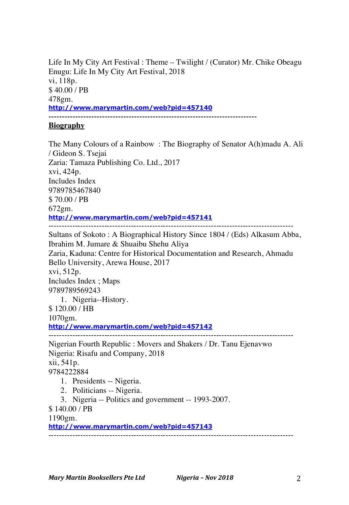Life In My City Art Festival : Theme – Twilight / (Curator) Mr. Chike Obeagu Enugu: Life In My City Art Festival, 2018 vi, 118p. \$ 40.00 / PB 478gm. **http://www.marymartin.com/web?pid=457140** ------------------------------------------------------------------------------

## **Biography**

The Many Colours of a Rainbow : The Biography of Senator A(h)madu A. Ali / Gideon S. Tsejai Zaria: Tamaza Publishing Co. Ltd., 2017 xvi, 424p. Includes Index 9789785467840 \$ 70.00 / PB 672gm. **http://www.marymartin.com/web?pid=457141** -------------------------------------------------------------------------------------------- Sultans of Sokoto : A Biographical History Since 1804 / (Eds) Alkasum Abba, Ibrahim M. Jumare & Shuaibu Shehu Aliya Zaria, Kaduna: Centre for Historical Documentation and Research, Ahmadu Bello University, Arewa House, 2017 xvi, 512p. Includes Index ; Maps 9789789569243 1. Nigeria--History. \$ 120.00 / HB 1070gm. **http://www.marymartin.com/web?pid=457142** -------------------------------------------------------------------------------------------- Nigerian Fourth Republic : Movers and Shakers / Dr. Tanu Ejenavwo Nigeria: Risafu and Company, 2018 xii, 541p. 9784222884 1. Presidents -- Nigeria. 2. Politicians -- Nigeria. 3. Nigeria -- Politics and government -- 1993-2007.

\$ 140.00 / PB

1190gm.

**http://www.marymartin.com/web?pid=457143**

--------------------------------------------------------------------------------------------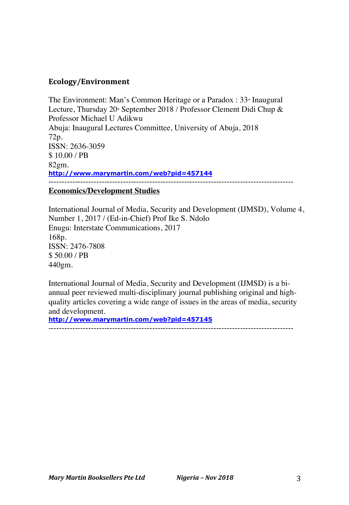# **Ecology/Environment**

The Environment: Man's Common Heritage or a Paradox :  $33^{\circ}$  Inaugural Lecture, Thursday 20<sup>th</sup> September 2018 / Professor Clement Didi Chup & Professor Michael U Adikwu Abuja: Inaugural Lectures Committee, University of Abuja, 2018 72p. ISSN: 2636-3059 \$ 10.00 / PB 82gm. **http://www.marymartin.com/web?pid=457144** --------------------------------------------------------------------------------------------

## **Economics/Development Studies**

International Journal of Media, Security and Development (IJMSD), Volume 4, Number 1, 2017 / (Ed-in-Chief) Prof Ike S. Ndolo Enugu: Interstate Communications, 2017 168p. ISSN: 2476-7808 \$ 50.00 / PB 440gm.

International Journal of Media, Security and Development (IJMSD) is a biannual peer reviewed multi-disciplinary journal publishing original and highquality articles covering a wide range of issues in the areas of media, security and development.

**http://www.marymartin.com/web?pid=457145**

--------------------------------------------------------------------------------------------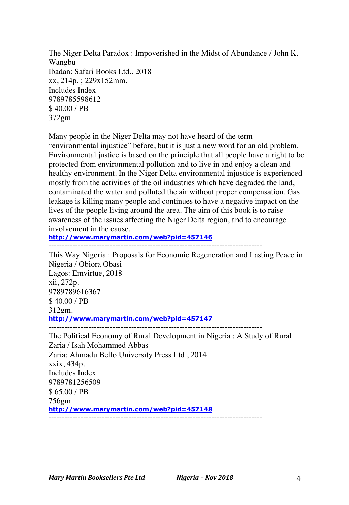The Niger Delta Paradox : Impoverished in the Midst of Abundance / John K. Wangbu Ibadan: Safari Books Ltd., 2018 xx, 214p. ; 229x152mm. Includes Index 9789785598612 \$ 40.00 / PB 372gm.

Many people in the Niger Delta may not have heard of the term "environmental injustice" before, but it is just a new word for an old problem. Environmental justice is based on the principle that all people have a right to be protected from environmental pollution and to live in and enjoy a clean and healthy environment. In the Niger Delta environmental injustice is experienced mostly from the activities of the oil industries which have degraded the land, contaminated the water and polluted the air without proper compensation. Gas leakage is killing many people and continues to have a negative impact on the lives of the people living around the area. The aim of this book is to raise awareness of the issues affecting the Niger Delta region, and to encourage involvement in the cause.

**http://www.marymartin.com/web?pid=457146**

This Way Nigeria : Proposals for Economic Regeneration and Lasting Peace in Nigeria / Obiora Obasi Lagos: Emvirtue, 2018 xii, 272p. 9789789616367 \$ 40.00 / PB 312gm. **http://www.marymartin.com/web?pid=457147** --------------------------------------------------------------------------------

The Political Economy of Rural Development in Nigeria : A Study of Rural Zaria / Isah Mohammed Abbas Zaria: Ahmadu Bello University Press Ltd., 2014 xxix, 434p. Includes Index 9789781256509 \$ 65.00 / PB 756gm. **http://www.marymartin.com/web?pid=457148** --------------------------------------------------------------------------------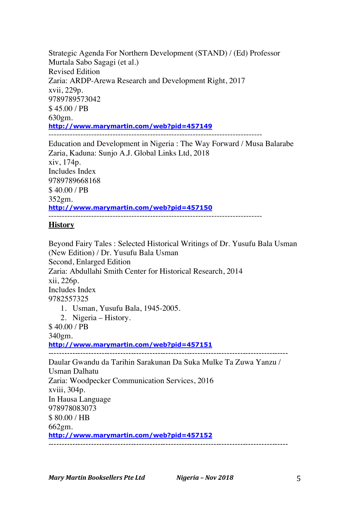Strategic Agenda For Northern Development (STAND) / (Ed) Professor Murtala Sabo Sagagi (et al.) Revised Edition Zaria: ARDP-Arewa Research and Development Right, 2017 xvii, 229p. 9789789573042 \$ 45.00 / PB 630gm. **http://www.marymartin.com/web?pid=457149** --------------------------------------------------------------------------------

Education and Development in Nigeria : The Way Forward / Musa Balarabe Zaria, Kaduna: Sunjo A.J. Global Links Ltd, 2018 xiv, 174p. Includes Index 9789789668168 \$ 40.00 / PB 352gm. **http://www.marymartin.com/web?pid=457150** --------------------------------------------------------------------------------

# **History**

Beyond Fairy Tales : Selected Historical Writings of Dr. Yusufu Bala Usman (New Edition) / Dr. Yusufu Bala Usman Second, Enlarged Edition Zaria: Abdullahi Smith Center for Historical Research, 2014 xii, 226p. Includes Index 9782557325 1. Usman, Yusufu Bala, 1945-2005. 2. Nigeria – History. \$ 40.00 / PB 340gm. **http://www.marymartin.com/web?pid=457151** ------------------------------------------------------------------------------------------ Daular Gwandu da Tarihin Sarakunan Da Suka Mulke Ta Zuwa Yanzu / Usman Dalhatu Zaria: Woodpecker Communication Services, 2016 xviii, 304p. In Hausa Language 978978083073 \$ 80.00 / HB 662gm. **http://www.marymartin.com/web?pid=457152** ------------------------------------------------------------------------------------------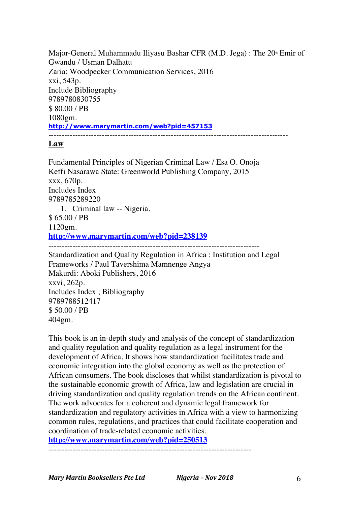Major-General Muhammadu Iliyasu Bashar CFR (M.D. Jega) : The  $20<sup>th</sup>$  Emir of Gwandu / Usman Dalhatu Zaria: Woodpecker Communication Services, 2016 xxi, 543p. Include Bibliography 9789780830755 \$ 80.00 / PB 1080gm. **http://www.marymartin.com/web?pid=457153** ------------------------------------------------------------------------------------------

### **Law**

Fundamental Principles of Nigerian Criminal Law / Esa O. Onoja Keffi Nasarawa State: Greenworld Publishing Company, 2015 xxx, 670p. Includes Index 9789785289220 1. Criminal law -- Nigeria. \$ 65.00 / PB 1120gm. **http://www.marymartin.com/web?pid=238139** ------------------------------------------------------------------------------- Standardization and Quality Regulation in Africa : Institution and Legal

Frameworks / Paul Tavershima Mamnenge Angya Makurdi: Aboki Publishers, 2016 xxvi, 262p. Includes Index ; Bibliography 9789788512417 \$ 50.00 / PB 404gm.

This book is an in-depth study and analysis of the concept of standardization and quality regulation and quality regulation as a legal instrument for the development of Africa. It shows how standardization facilitates trade and economic integration into the global economy as well as the protection of African consumers. The book discloses that whilst standardization is pivotal to the sustainable economic growth of Africa, law and legislation are crucial in driving standardization and quality regulation trends on the African continent. The work advocates for a coherent and dynamic legal framework for standardization and regulatory activities in Africa with a view to harmonizing common rules, regulations, and practices that could facilitate cooperation and coordination of trade-related economic activities.

**http://www.marymartin.com/web?pid=250513**

----------------------------------------------------------------------------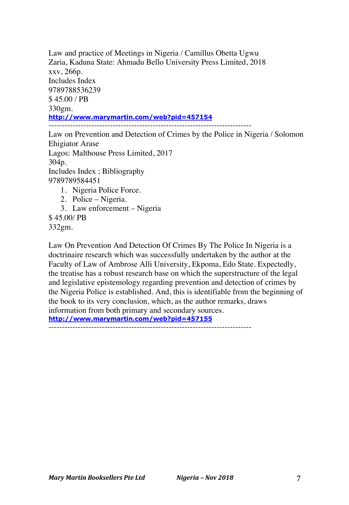Law and practice of Meetings in Nigeria / Camillus Obetta Ugwu Zaria, Kaduna State: Ahmadu Bello University Press Limited, 2018 xxv, 266p. Includes Index 9789788536239 \$ 45.00 / PB 330gm. **http://www.marymartin.com/web?pid=457154** ----------------------------------------------------------------------------

Law on Prevention and Detection of Crimes by the Police in Nigeria / Solomon Ehigiator Arase Lagos: Malthouse Press Limited, 2017 304p. Includes Index ; Bibliography 9789789584451 1. Nigeria Police Force. 2. Police – Nigeria.

- 3. Law enforcement Nigeria
- \$ 45.00/ PB
- 332gm.

Law On Prevention And Detection Of Crimes By The Police In Nigeria is a doctrinaire research which was successfully undertaken by the author at the Faculty of Law of Ambrose Alli University, Ekpoma, Edo State. Expectedly, the treatise has a robust research base on which the superstructure of the legal and legislative epistemology regarding prevention and detection of crimes by the Nigeria Police is established. And, this is identifiable from the beginning of the book to its very conclusion, which, as the author remarks, draws information from both primary and secondary sources. **http://www.marymartin.com/web?pid=457155**

----------------------------------------------------------------------------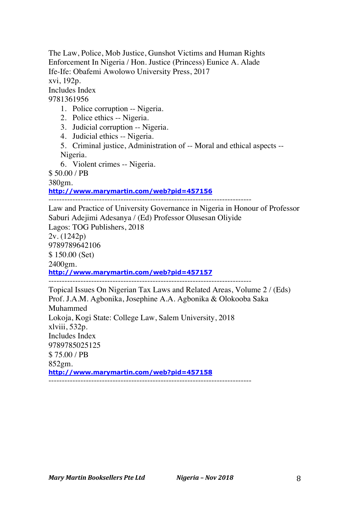The Law, Police, Mob Justice, Gunshot Victims and Human Rights Enforcement In Nigeria / Hon. Justice (Princess) Eunice A. Alade Ife-Ife: Obafemi Awolowo University Press, 2017 xvi, 192p. Includes Index 9781361956

- 1. Police corruption -- Nigeria.
- 2. Police ethics -- Nigeria.
- 3. Judicial corruption -- Nigeria.
- 4. Judicial ethics -- Nigeria.
- 5. Criminal justice, Administration of -- Moral and ethical aspects -- Nigeria.
- 6. Violent crimes -- Nigeria.

\$ 50.00 / PB

380gm.

**http://www.marymartin.com/web?pid=457156**

----------------------------------------------------------------------------

Law and Practice of University Governance in Nigeria in Honour of Professor Saburi Adejimi Adesanya / (Ed) Professor Olusesan Oliyide Lagos: TOG Publishers, 2018 2v. (1242p) 9789789642106 \$ 150.00 (Set) 2400gm. **http://www.marymartin.com/web?pid=457157** ----------------------------------------------------------------------------

Topical Issues On Nigerian Tax Laws and Related Areas, Volume 2 / (Eds) Prof. J.A.M. Agbonika, Josephine A.A. Agbonika & Olokooba Saka Muhammed Lokoja, Kogi State: College Law, Salem University, 2018 xlviii, 532p. Includes Index 9789785025125 \$ 75.00 / PB 852gm. **http://www.marymartin.com/web?pid=457158** ----------------------------------------------------------------------------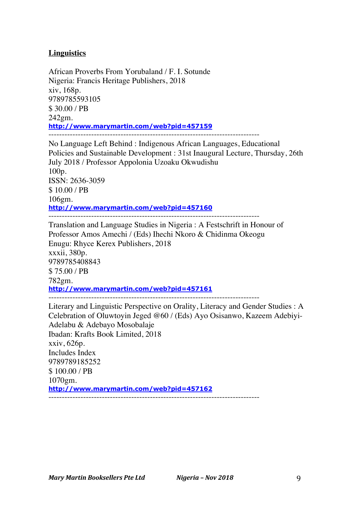# **Linguistics**

African Proverbs From Yorubaland / F. I. Sotunde Nigeria: Francis Heritage Publishers, 2018 xiv, 168p. 9789785593105 \$ 30.00 / PB 242gm. **http://www.marymartin.com/web?pid=457159**

No Language Left Behind : Indigenous African Languages, Educational Policies and Sustainable Development : 31st Inaugural Lecture, Thursday, 26th July 2018 / Professor Appolonia Uzoaku Okwudishu 100p. ISSN: 2636-3059 \$ 10.00 / PB 106gm. **http://www.marymartin.com/web?pid=457160** -------------------------------------------------------------------------------

Translation and Language Studies in Nigeria : A Festschrift in Honour of Professor Amos Amechi / (Eds) Ihechi Nkoro & Chidinma Okeogu Enugu: Rhyce Kerex Publishers, 2018 xxxii, 380p. 9789785408843 \$ 75.00 / PB 782gm. **http://www.marymartin.com/web?pid=457161** -------------------------------------------------------------------------------

Literary and Linguistic Perspective on Orality, Literacy and Gender Studies : A Celebration of Oluwtoyin Jeged @60 / (Eds) Ayo Osisanwo, Kazeem Adebiyi-Adelabu & Adebayo Mosobalaje Ibadan: Krafts Book Limited, 2018 xxiv, 626p. Includes Index 9789789185252 \$ 100.00 / PB 1070gm. **http://www.marymartin.com/web?pid=457162** -------------------------------------------------------------------------------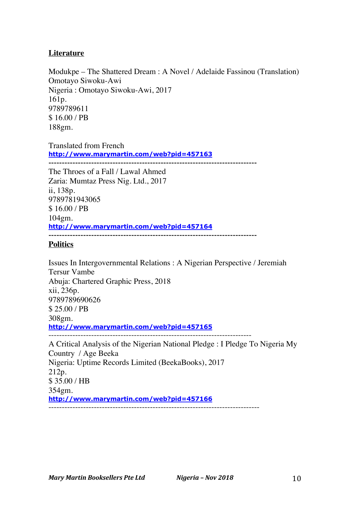## **Literature**

Modukpe – The Shattered Dream : A Novel / Adelaide Fassinou (Translation) Omotayo Siwoku-Awi Nigeria : Omotayo Siwoku-Awi, 2017 161p. 9789789611 \$ 16.00 / PB 188gm.

Translated from French **http://www.marymartin.com/web?pid=457163** ------------------------------------------------------------------------------

The Throes of a Fall / Lawal Ahmed Zaria: Mumtaz Press Nig. Ltd., 2017 ii, 138p. 9789781943065 \$ 16.00 / PB 104gm. **http://www.marymartin.com/web?pid=457164** ------------------------------------------------------------------------------

## **Politics**

Issues In Intergovernmental Relations : A Nigerian Perspective / Jeremiah Tersur Vambe Abuja: Chartered Graphic Press, 2018 xii, 236p. 9789789690626 \$ 25.00 / PB 308gm. **http://www.marymartin.com/web?pid=457165** ----------------------------------------------------------------------------

A Critical Analysis of the Nigerian National Pledge : I Pledge To Nigeria My Country / Age Beeka Nigeria: Uptime Records Limited (BeekaBooks), 2017 212p. \$ 35.00 / HB 354gm. **http://www.marymartin.com/web?pid=457166** -------------------------------------------------------------------------------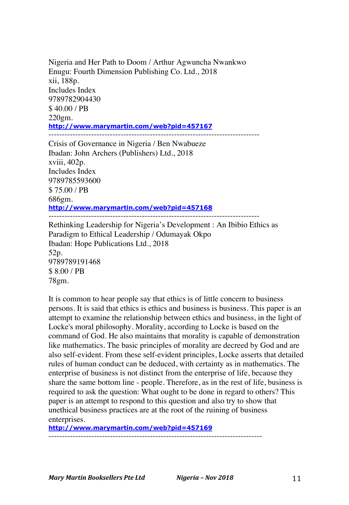Nigeria and Her Path to Doom / Arthur Agwuncha Nwankwo Enugu: Fourth Dimension Publishing Co. Ltd., 2018 xii, 188p. Includes Index 9789782904430 \$ 40.00 / PB 220gm. **http://www.marymartin.com/web?pid=457167**

Crisis of Governance in Nigeria / Ben Nwabueze Ibadan: John Archers (Publishers) Ltd., 2018 xviii, 402p. Includes Index 9789785593600 \$ 75.00 / PB 686gm. **http://www.marymartin.com/web?pid=457168** -------------------------------------------------------------------------------

Rethinking Leadership for Nigeria's Development : An Ibibio Ethics as Paradigm to Ethical Leadership / Odumayak Okpo Ibadan: Hope Publications Ltd., 2018 52p. 9789789191468 \$ 8.00 / PB 78gm.

It is common to hear people say that ethics is of little concern to business persons. It is said that ethics is ethics and business is business. This paper is an attempt to examine the relationship between ethics and business, in the light of Locke's moral philosophy. Morality, according to Locke is based on the command of God. He also maintains that morality is capable of demonstration like mathematics. The basic principles of morality are decreed by God and are also self-evident. From these self-evident principles, Locke asserts that detailed rules of human conduct can be deduced, with certainty as in mathematics. The enterprise of business is not distinct from the enterprise of life, because they share the same bottom line - people. Therefore, as in the rest of life, business is required to ask the question: What ought to be done in regard to others? This paper is an attempt to respond to this question and also try to show that unethical business practices are at the root of the ruining of business enterprises.

**http://www.marymartin.com/web?pid=457169**

--------------------------------------------------------------------------------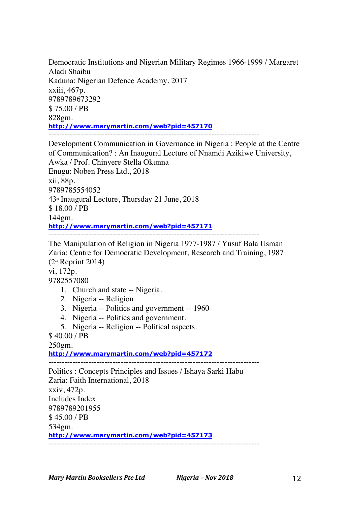Democratic Institutions and Nigerian Military Regimes 1966-1999 / Margaret Aladi Shaibu Kaduna: Nigerian Defence Academy, 2017 xxiii, 467p. 9789789673292 \$ 75.00 / PB 828gm. **http://www.marymartin.com/web?pid=457170** -------------------------------------------------------------------------------

Development Communication in Governance in Nigeria : People at the Centre of Communication? : An Inaugural Lecture of Nnamdi Azikiwe University, Awka / Prof. Chinyere Stella Okunna Enugu: Noben Press Ltd., 2018 xii, 88p. 9789785554052  $43<sup>d</sup>$  Inaugural Lecture, Thursday 21 June, 2018 \$ 18.00 / PB 144gm. **http://www.marymartin.com/web?pid=457171** -------------------------------------------------------------------------------

The Manipulation of Religion in Nigeria 1977-1987 / Yusuf Bala Usman Zaria: Centre for Democratic Development, Research and Training, 1987 (2nd Reprint 2014)

vi, 172p.

9782557080

- 1. Church and state -- Nigeria.
- 2. Nigeria -- Religion.
- 3. Nigeria -- Politics and government -- 1960-
- 4. Nigeria -- Politics and government.
- 5. Nigeria -- Religion -- Political aspects.

\$ 40.00 / PB

250gm.

**http://www.marymartin.com/web?pid=457172**

Politics : Concepts Principles and Issues / Ishaya Sarki Habu Zaria: Faith International, 2018 xxiv, 472p. Includes Index 9789789201955 \$ 45.00 / PB 534gm. **http://www.marymartin.com/web?pid=457173** -------------------------------------------------------------------------------